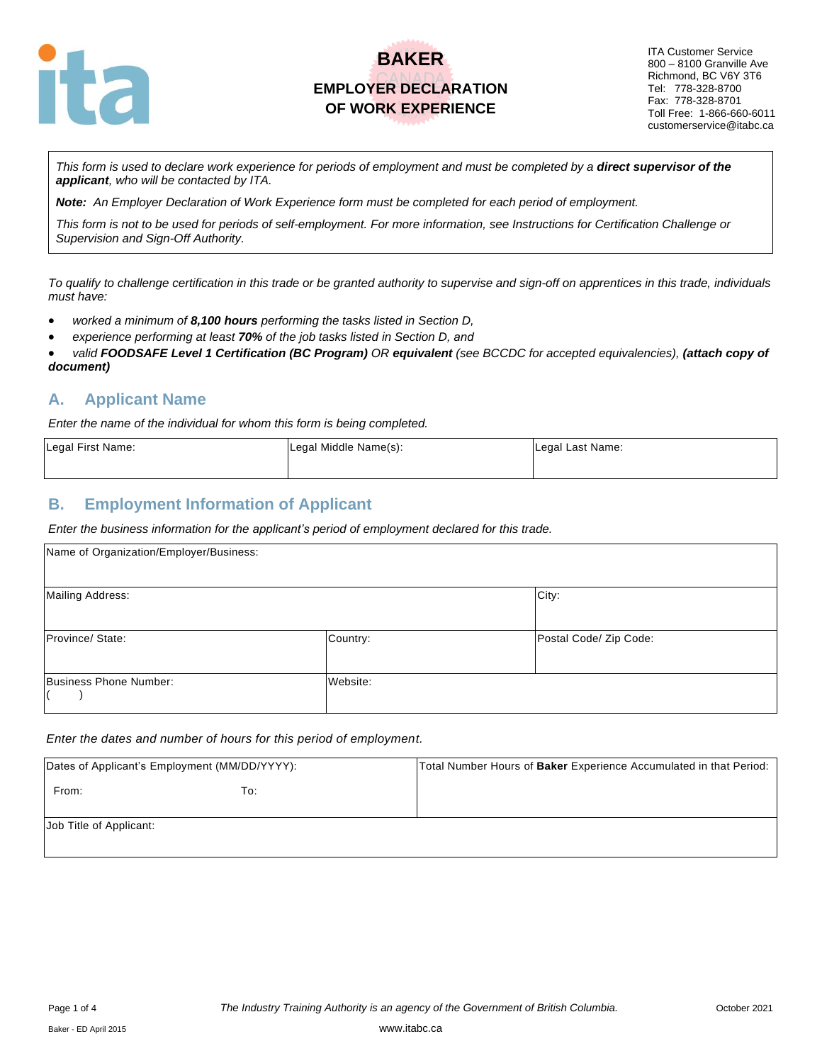

ITA Customer Service 800 – 8100 Granville Ave Richmond, BC V6Y 3T6 Tel: 778-328-8700 Fax: 778-328-8701 Toll Free: 1-866-660-6011 customerservice@itabc.ca

*This form is used to declare work experience for periods of employment and must be completed by a direct supervisor of the applicant, who will be contacted by ITA.*

*Note: An Employer Declaration of Work Experience form must be completed for each period of employment.*

*This form is not to be used for periods of self-employment. For more information, see Instructions for Certification Challenge or Supervision and Sign-Off Authority.*

*To qualify to challenge certification in this trade or be granted authority to supervise and sign-off on apprentices in this trade, individuals must have:*

- *worked a minimum of 8,100 hours performing the tasks listed in Section D,*
- *experience performing at least 70% of the job tasks listed in Section D, and*

• *valid FOODSAFE Level 1 Certification (BC Program) OR equivalent (see BCCDC for accepted equivalencies), (attach copy of document)* 

#### **A. Applicant Name**

*Enter the name of the individual for whom this form is being completed.*

| Legal First Name: | Legal Middle Name(s): | Legal Last Name: |
|-------------------|-----------------------|------------------|
|                   |                       |                  |

#### **B. Employment Information of Applicant**

*Enter the business information for the applicant's period of employment declared for this trade.*

| Name of Organization/Employer/Business: |          |                        |  |  |
|-----------------------------------------|----------|------------------------|--|--|
| <b>Mailing Address:</b>                 |          | City:                  |  |  |
| Province/ State:                        | Country: | Postal Code/ Zip Code: |  |  |
| Business Phone Number:                  | Website: |                        |  |  |

#### *Enter the dates and number of hours for this period of employment.*

| Dates of Applicant's Employment (MM/DD/YYYY): |     | Total Number Hours of Baker Experience Accumulated in that Period: |
|-----------------------------------------------|-----|--------------------------------------------------------------------|
| From:                                         | To: |                                                                    |
| Job Title of Applicant:                       |     |                                                                    |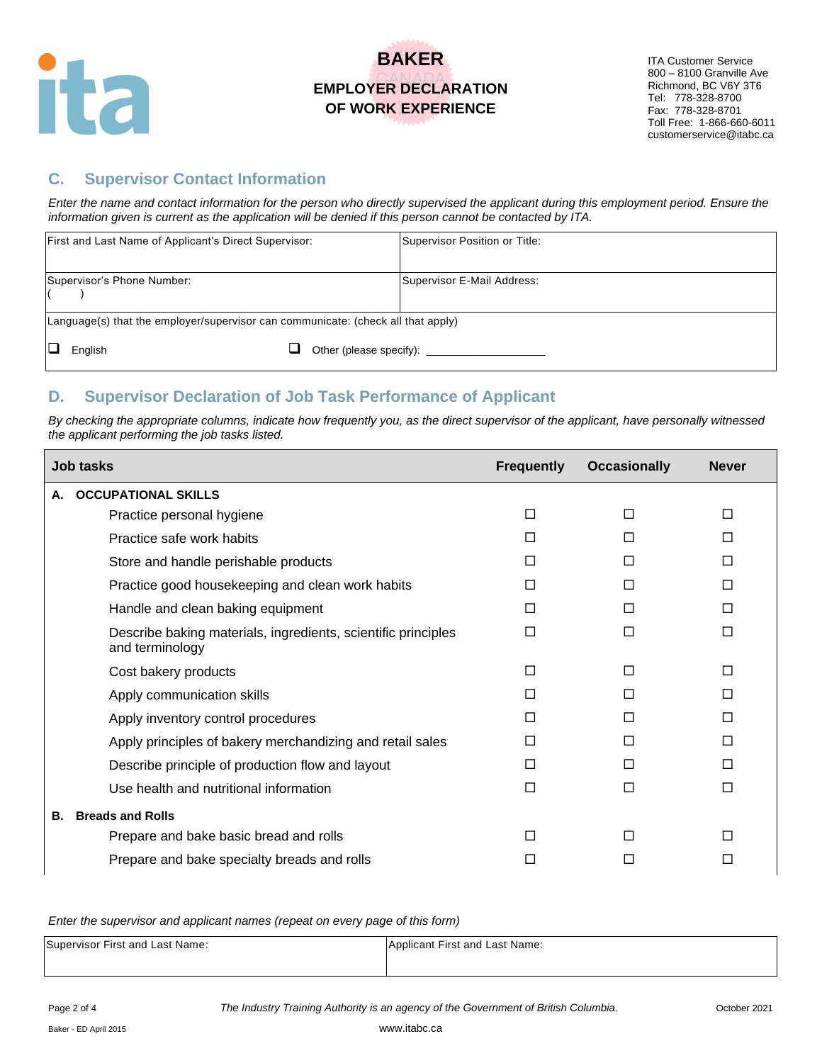

ITA Customer Service 800 – 8100 Granville Ave Richmond, BC V6Y 3T6 Tel: 778-328-8700 Fax: 778-328-8701 Toll Free: 1-866-660-6011 customerservice@itabc.ca

### **C. Supervisor Contact Information**

*Enter the name and contact information for the person who directly supervised the applicant during this employment period. Ensure the information given is current as the application will be denied if this person cannot be contacted by ITA.*

| First and Last Name of Applicant's Direct Supervisor:                            | Supervisor Position or Title: |
|----------------------------------------------------------------------------------|-------------------------------|
| Supervisor's Phone Number:                                                       | Supervisor E-Mail Address:    |
| Language(s) that the employer/supervisor can communicate: (check all that apply) |                               |
| English                                                                          |                               |

### **D. Supervisor Declaration of Job Task Performance of Applicant**

*By checking the appropriate columns, indicate how frequently you, as the direct supervisor of the applicant, have personally witnessed the applicant performing the job tasks listed.* 

| <b>Job tasks</b>                                                                 | <b>Frequently</b> | <b>Occasionally</b> | <b>Never</b> |
|----------------------------------------------------------------------------------|-------------------|---------------------|--------------|
| <b>OCCUPATIONAL SKILLS</b><br>А.                                                 |                   |                     |              |
| Practice personal hygiene                                                        | П                 | П                   | □            |
| Practice safe work habits                                                        | П                 | П                   | □            |
| Store and handle perishable products                                             | П                 | П                   | П            |
| Practice good housekeeping and clean work habits                                 | П                 | П                   | П            |
| Handle and clean baking equipment                                                | П                 | П                   | П            |
| Describe baking materials, ingredients, scientific principles<br>and terminology | □                 | $\Box$              | $\Box$       |
| Cost bakery products                                                             | П                 | П                   | П            |
| Apply communication skills                                                       | П                 | П                   | П            |
| Apply inventory control procedures                                               | П                 | П                   | П            |
| Apply principles of bakery merchandizing and retail sales                        | П                 | П                   | П            |
| Describe principle of production flow and layout                                 | П                 | П                   | П            |
| Use health and nutritional information                                           | П                 | $\Box$              | □            |
| <b>Breads and Rolls</b><br>В.                                                    |                   |                     |              |
| Prepare and bake basic bread and rolls                                           | П                 | П                   | □            |
| Prepare and bake specialty breads and rolls                                      | $\mathsf{L}$      | ΙI                  | □            |

*Enter the supervisor and applicant names (repeat on every page of this form)*

| Supervisor First and Last Name: | Applicant First and Last Name: |
|---------------------------------|--------------------------------|
|                                 |                                |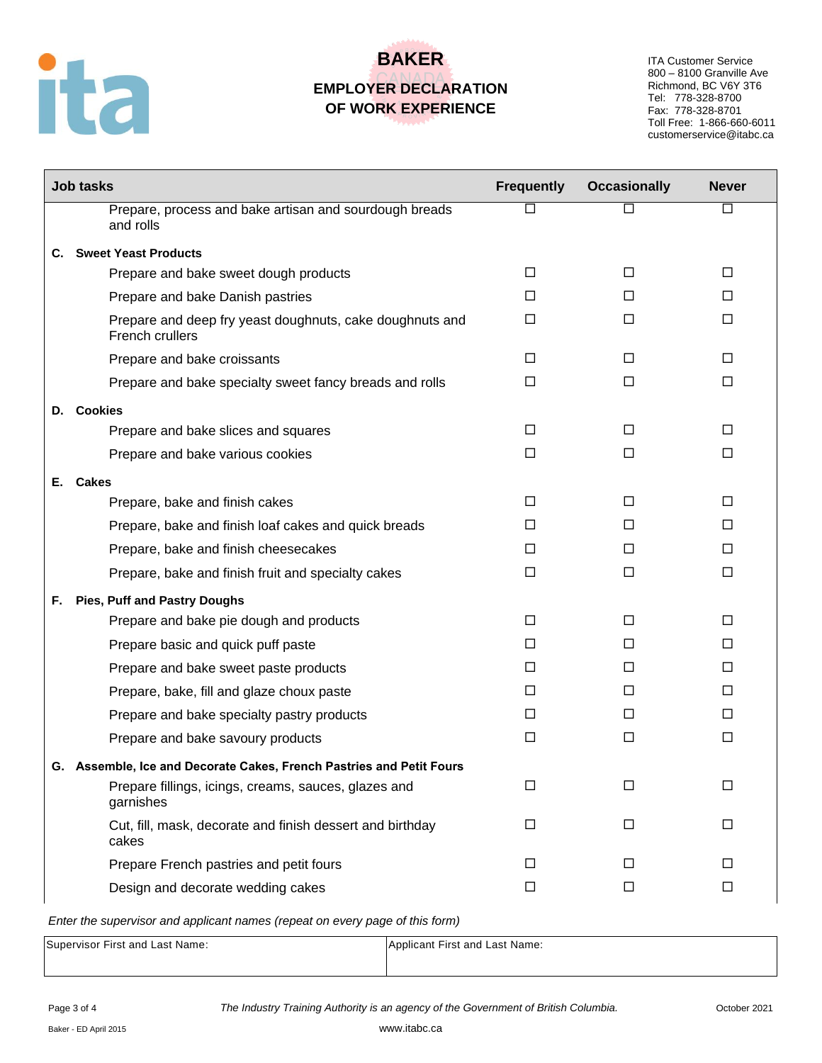

ITA Customer Service 800 – 8100 Granville Ave Richmond, BC V6Y 3T6 Tel: 778-328-8700 Fax: 778-328-8701 Toll Free: 1-866-660-6011 customerservice@itabc.ca

|    | <b>Job tasks</b>                                                            | <b>Frequently</b> | <b>Occasionally</b> | <b>Never</b> |
|----|-----------------------------------------------------------------------------|-------------------|---------------------|--------------|
|    | Prepare, process and bake artisan and sourdough breads<br>and rolls         | $\Box$            | П                   | $\Box$       |
| С. | <b>Sweet Yeast Products</b>                                                 |                   |                     |              |
|    | Prepare and bake sweet dough products                                       | □                 | $\Box$              | $\Box$       |
|    | Prepare and bake Danish pastries                                            | п                 | П                   | П            |
|    | Prepare and deep fry yeast doughnuts, cake doughnuts and<br>French crullers | □                 | □                   | □            |
|    | Prepare and bake croissants                                                 | $\Box$            | □                   | □            |
|    | Prepare and bake specialty sweet fancy breads and rolls                     | □                 | □                   | $\Box$       |
|    | D. Cookies                                                                  |                   |                     |              |
|    | Prepare and bake slices and squares                                         | $\Box$            | □                   | $\Box$       |
|    | Prepare and bake various cookies                                            | □                 | □                   | □            |
| Е. | <b>Cakes</b>                                                                |                   |                     |              |
|    | Prepare, bake and finish cakes                                              | П                 | □                   | □            |
|    | Prepare, bake and finish loaf cakes and quick breads                        | П                 | П                   | П            |
|    | Prepare, bake and finish cheesecakes                                        | П                 | П                   | □            |
|    | Prepare, bake and finish fruit and specialty cakes                          | $\Box$            | $\Box$              | $\Box$       |
| F. | <b>Pies, Puff and Pastry Doughs</b>                                         |                   |                     |              |
|    | Prepare and bake pie dough and products                                     | $\Box$            | $\Box$              | $\Box$       |
|    | Prepare basic and quick puff paste                                          | П                 | □                   | □            |
|    | Prepare and bake sweet paste products                                       | $\Box$            | П                   | □            |
|    | Prepare, bake, fill and glaze choux paste                                   | $\Box$            | П                   | П            |
|    | Prepare and bake specialty pastry products                                  | П                 | П                   | □            |
|    | Prepare and bake savoury products                                           | $\Box$            | $\Box$              | $\Box$       |
|    | G. Assemble, Ice and Decorate Cakes, French Pastries and Petit Fours        |                   |                     |              |
|    | Prepare fillings, icings, creams, sauces, glazes and<br>garnishes           | $\Box$            | $\Box$              | $\Box$       |
|    | Cut, fill, mask, decorate and finish dessert and birthday<br>cakes          | $\Box$            | $\Box$              | $\Box$       |
|    | Prepare French pastries and petit fours                                     | □                 | $\Box$              | □            |
|    | Design and decorate wedding cakes                                           | $\Box$            | $\Box$              | $\Box$       |

*Enter the supervisor and applicant names (repeat on every page of this form)*

| Supervisor First and Last Name: | Applicant First and Last Name: |
|---------------------------------|--------------------------------|
|                                 |                                |
|                                 |                                |